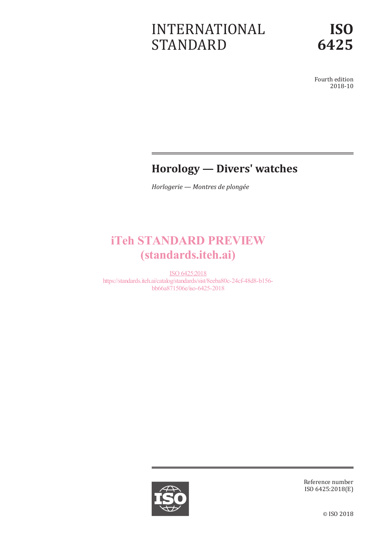# INTERNATIONAL STANDARD

Fourth edition 2018-10

# **Horology — Divers' watches**

*Horlogerie — Montres de plongée*

# iTeh STANDARD PREVIEW (standards.iteh.ai)

ISO 6425:2018 https://standards.iteh.ai/catalog/standards/sist/8eeba80c-24cf-48d8-b156 bb66a871506e/iso-6425-2018



Reference number ISO 6425:2018(E)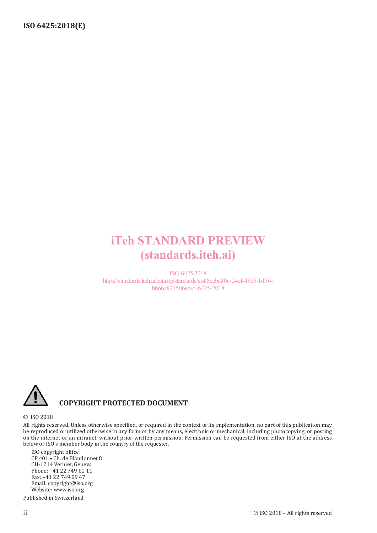## iTeh STANDARD PREVIEW (standards.iteh.ai)

ISO 6425:2018 https://standards.iteh.ai/catalog/standards/sist/8eeba80c-24cf-48d8-b156 bb66a871506e/iso-6425-2018



### **COPYRIGHT PROTECTED DOCUMENT**

#### © ISO 2018

All rights reserved. Unless otherwise specified, or required in the context of its implementation, no part of this publication may be reproduced or utilized otherwise in any form or by any means, electronic or mechanical, including photocopying, or posting on the internet or an intranet, without prior written permission. Permission can be requested from either ISO at the address below or ISO's member body in the country of the requester.

ISO copyright office CP 401 • Ch. de Blandonnet 8 CH-1214 Vernier, Geneva Phone: +41 22 749 01 11 Fax: +41 22 749 09 47 Email: copyright@iso.org Website: www.iso.org

Published in Switzerland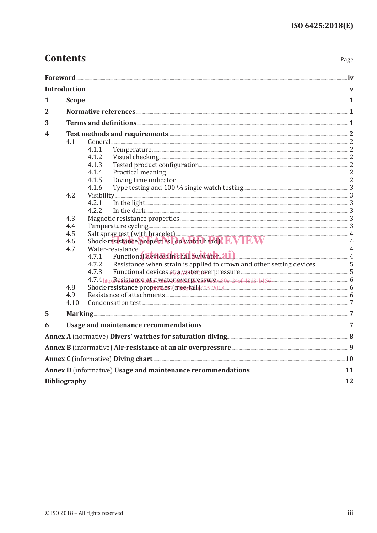## **Contents**

Page

| 1 |      | $Scope \underline{\hspace{1cm}} 1$                                                         |  |
|---|------|--------------------------------------------------------------------------------------------|--|
| 2 |      |                                                                                            |  |
|   |      |                                                                                            |  |
| 3 |      |                                                                                            |  |
| 4 |      |                                                                                            |  |
|   | 4.1  |                                                                                            |  |
|   |      | 4.1.1                                                                                      |  |
|   |      | 4.1.2                                                                                      |  |
|   |      | 4.1.3                                                                                      |  |
|   |      | 4.1.4                                                                                      |  |
|   |      | 4.1.5                                                                                      |  |
|   |      | 4.1.6                                                                                      |  |
|   | 4.2  |                                                                                            |  |
|   |      | 4.2.1                                                                                      |  |
|   |      | 4.2.2                                                                                      |  |
|   | 4.3  |                                                                                            |  |
|   | 4.4  |                                                                                            |  |
|   | 4.5  | Salt spray test (with bracelet)<br>Shock-resistance properties (on watch head) RN IRN      |  |
|   | 4.6  |                                                                                            |  |
|   | 4.7  |                                                                                            |  |
|   |      | Functional devices in shallow water. 21.<br>4.7.1                                          |  |
|   |      | 4.7.2                                                                                      |  |
|   |      | 4.7.3                                                                                      |  |
|   |      |                                                                                            |  |
|   | 4.8  |                                                                                            |  |
|   | 4.9  |                                                                                            |  |
|   | 4.10 |                                                                                            |  |
| 5 |      |                                                                                            |  |
| 6 |      |                                                                                            |  |
|   |      | Annex A (normative) Divers' watches for saturation diving <b>Election 2018</b>             |  |
|   |      | Annex B (informative) Air-resistance at an air overpressure <b>Annex B</b> (informative) 4 |  |
|   |      |                                                                                            |  |
|   |      |                                                                                            |  |
|   |      |                                                                                            |  |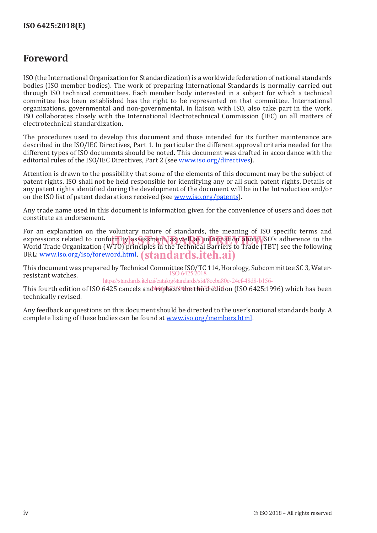## **Foreword**

ISO (the International Organization for Standardization) is a worldwide federation of national standards bodies (ISO member bodies). The work of preparing International Standards is normally carried out through ISO technical committees. Each member body interested in a subject for which a technical committee has been established has the right to be represented on that committee. International organizations, governmental and non-governmental, in liaison with ISO, also take part in the work. ISO collaborates closely with the International Electrotechnical Commission (IEC) on all matters of electrotechnical standardization.

The procedures used to develop this document and those intended for its further maintenance are described in the ISO/IEC Directives, Part 1. In particular the different approval criteria needed for the different types of ISO documents should be noted. This document was drafted in accordance with the editorial rules of the ISO/IEC Directives, Part 2 (see www.iso.org/directives).

Attention is drawn to the possibility that some of the elements of this document may be the subject of patent rights. ISO shall not be held responsible for identifying any or all such patent rights. Details of any patent rights identified during the development of the document will be in the Introduction and/or on the ISO list of patent declarations received (see www.iso.org/patents).

Any trade name used in this document is information given for the convenience of users and does not constitute an endorsement.

For an explanation on the voluntary nature of standards, the meaning of ISO specific terms and expressions related to conformity assessment, as well as information about ISO's adherence to the<br>World Trade Organization (WTO) principles in the Technical Barriers to Trade (TBT) see the following World Trade Organization (WTO) principles in the Technical Barriers to Trade (TBT) see the following URL: <u>www.iso.org/iso/foreword.html</u>. (standards.iteh.ai)

This document was prepared by Technical Committee ISO/TC 114, Horology, Subcommittee SC 3, Waterresistant watches. ISO 6425:2018

https://standards.iteh.ai/catalog/standards/sist/8eeba80c-24cf-48d8-b156-

This fourth edition of ISO 6425 cancels and replaces the third edition (ISO 6425:1996) which has been technically revised.

Any feedback or questions on this document should be directed to the user's national standards body. A complete listing of these bodies can be found at www.iso.org/members.html.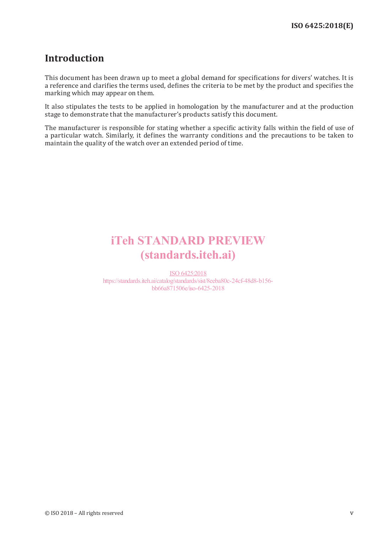### **Introduction**

This document has been drawn up to meet a global demand for specifications for divers' watches. It is a reference and clarifies the terms used, defines the criteria to be met by the product and specifies the marking which may appear on them.

It also stipulates the tests to be applied in homologation by the manufacturer and at the production stage to demonstrate that the manufacturer's products satisfy this document.

The manufacturer is responsible for stating whether a specific activity falls within the field of use of a particular watch. Similarly, it defines the warranty conditions and the precautions to be taken to maintain the quality of the watch over an extended period of time.

# iTeh STANDARD PREVIEW (standards.iteh.ai)

ISO 6425:2018 https://standards.iteh.ai/catalog/standards/sist/8eeba80c-24cf-48d8-b156 bb66a871506e/iso-6425-2018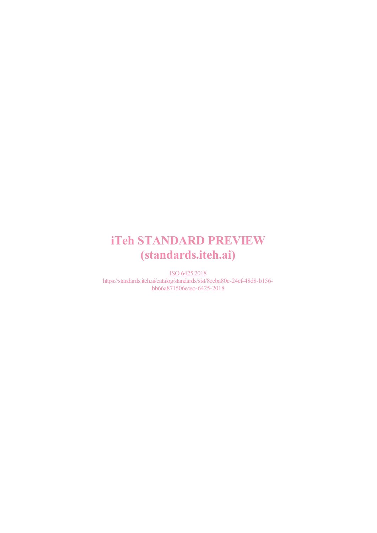# iTeh STANDARD PREVIEW (standards.iteh.ai)

ISO 6425:2018 https://standards.iteh.ai/catalog/standards/sist/8eeba80c-24cf-48d8-b156 bb66a871506e/iso-6425-2018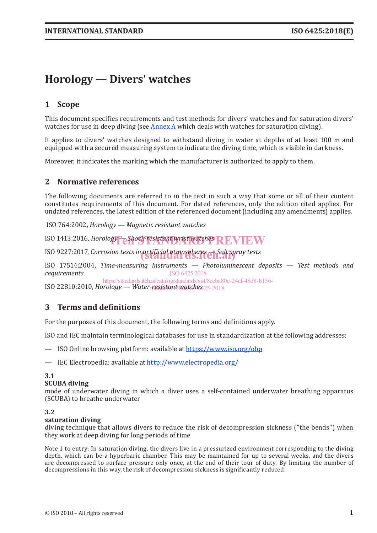## **Horology — Divers' watches**

### **1 Scope**

This document specifies requirements and test methods for divers' watches and for saturation divers' watches for use in deep diving (see Annex A which deals with watches for saturation diving).

It applies to divers' watches designed to withstand diving in water at depths of at least 100 m and equipped with a secured measuring system to indicate the diving time, which is visible in darkness.

Moreover, it indicates the marking which the manufacturer is authorized to apply to them.

### **2 Normative references**

The following documents are referred to in the text in such a way that some or all of their content constitutes requirements of this document. For dated references, only the edition cited applies. For undated references, the latest edition of the referenced document (including any amendments) applies.

ISO 764:2002, *Horology — Magnetic resistant watches*

ISO 1413:2016, *Horology — Shock-resistant wrist watches*  $\mathbf{R}\mathbf{E}\mathbf{V}\mathbf{E}\mathbf{W}$ 

ISO 9227:2017, *Corrosion tests in artificial atmospheres — Salt spray tests* (standards.iteh.ai)

ISO 17514:2004, *Time-measuring instruments — Photoluminescent deposits — Test methods and requirements* ISO 6425:2018

ISO 22810:2010, *Horology — Water-resistant watches* bb66a871506e/iso-6425-2018https://standards.iteh.ai/catalog/standards/sist/8eeba80c-24cf-48d8-b156-

### **3 Terms and definitions**

For the purposes of this document, the following terms and definitions apply.

ISO and IEC maintain terminological databases for use in standardization at the following addresses:

- ISO Online browsing platform: available at https://www.iso.org/obp
- IEC Electropedia: available at http://www.electropedia.org/

#### **3.1**

#### **SCUBA diving**

mode of underwater diving in which a diver uses a self-contained underwater breathing apparatus (SCUBA) to breathe underwater

#### **3.2**

#### **saturation diving**

diving technique that allows divers to reduce the risk of decompression sickness ("the bends") when they work at deep diving for long periods of time

Note 1 to entry: In saturation diving, the divers live in a pressurized environment corresponding to the diving depth, which can be a hyperbaric chamber. This may be maintained for up to several weeks, and the divers are decompressed to surface pressure only once, at the end of their tour of duty. By limiting the number of decompressions in this way, the risk of decompression sickness is significantly reduced.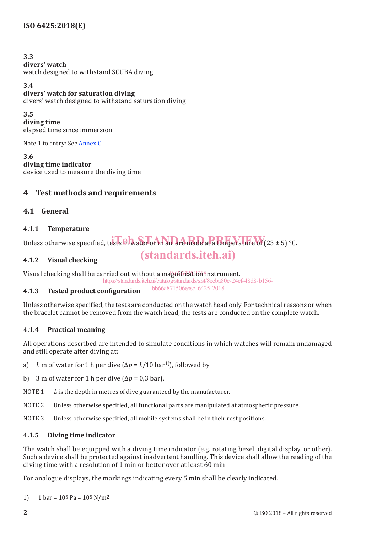### **3.3**

**divers' watch**

watch designed to withstand SCUBA diving

#### **3.4**

#### **divers' watch for saturation diving**

divers' watch designed to withstand saturation diving

#### **3.5**

**diving time**

elapsed time since immersion

Note 1 to entry: See Annex C.

#### **3.6**

**diving time indicator**

device used to measure the diving time

### **4 Test methods and requirements**

### **4.1 General**

### **4.1.1 Temperature**

## Unless otherwise specified, tests in water or in air are made at a temperature of (23 ± 5) °C.

### **4.1.2 Visual checking**

Visual checking shall be carried out without a magnification instrument.

https://standards.iteh.ai/catalog/standards/sist/8eeba80c-24cf-48d8-b156-

#### **4.1.3 Tested product configuration**

Unless otherwise specified, the tests are conducted on the watch head only. For technical reasons or when the bracelet cannot be removed from the watch head, the tests are conducted on the complete watch.

(standards.iteh.ai)

bb66a871506e/iso-6425-2018

### **4.1.4 Practical meaning**

All operations described are intended to simulate conditions in which watches will remain undamaged and still operate after diving at:

- a) *L* m of water for 1 h per dive  $(\Delta p = L/10 \text{ bar}^1)$ , followed by
- b) 3 m of water for 1 h per dive (Δ*p* = 0,3 bar).
- NOTE 1 L is the depth in metres of dive guaranteed by the manufacturer.
- NOTE 2 Unless otherwise specified, all functional parts are manipulated at atmospheric pressure.
- NOTE 3 Unless otherwise specified, all mobile systems shall be in their rest positions.

### **4.1.5 Diving time indicator**

The watch shall be equipped with a diving time indicator (e.g. rotating bezel, digital display, or other). Such a device shall be protected against inadvertent handling. This device shall allow the reading of the diving time with a resolution of 1 min or better over at least 60 min.

For analogue displays, the markings indicating every 5 min shall be clearly indicated.

<sup>1) 1</sup> bar =  $10^5$  Pa =  $10^5$  N/m<sup>2</sup>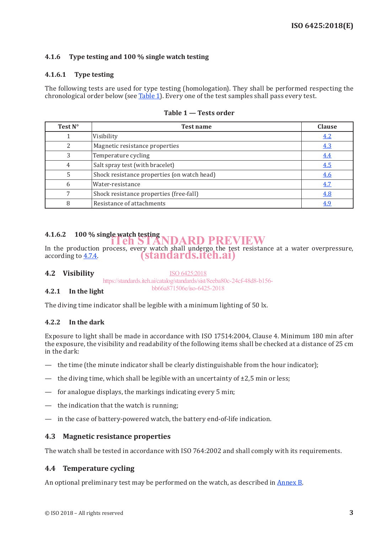#### **4.1.6 Type testing and 100 % single watch testing**

#### **4.1.6.1 Type testing**

The following tests are used for type testing (homologation). They shall be performed respecting the chronological order below (see Table 1). Every one of the test samples shall pass every test.

| Test N° | Test name                                   | <b>Clause</b> |
|---------|---------------------------------------------|---------------|
|         | Visibility                                  | 4.2           |
|         | Magnetic resistance properties              | 4.3           |
| 3       | Temperature cycling                         | 4.4           |
| 4       | Salt spray test (with bracelet)             | <u>4.5</u>    |
|         | Shock resistance properties (on watch head) | <u>4.6</u>    |
| 6       | Water-resistance                            | 4.7           |
|         | Shock resistance properties (free-fall)     | 4.8           |
|         | Resistance of attachments                   | 4.9           |

**Table 1 — Tests order**

# **4.1.6.2 100 % single watch testing** iTeh STANDARD PREVIEW

In the production process, every watch shall undergo the test resistance at a water overpressure, according to  $4.7.4$ . (standards.iteh.ai)

#### **4.2 Visibility**

ISO 6425:2018 https://standards.iteh.ai/catalog/standards/sist/8eeba80c-24cf-48d8-b156 bb66a871506e/iso-6425-2018

#### **4.2.1 In the light**

The diving time indicator shall be legible with a minimum lighting of 50 lx.

#### **4.2.2 In the dark**

Exposure to light shall be made in accordance with ISO 17514:2004, Clause 4. Minimum 180 min after the exposure, the visibility and readability of the following items shall be checked at a distance of 25 cm in the dark:

- the time (the minute indicator shall be clearly distinguishable from the hour indicator);
- the diving time, which shall be legible with an uncertainty of  $\pm 2.5$  min or less;
- for analogue displays, the markings indicating every 5 min;
- the indication that the watch is running;
- in the case of battery-powered watch, the battery end-of-life indication.

#### **4.3 Magnetic resistance properties**

The watch shall be tested in accordance with ISO 764:2002 and shall comply with its requirements.

#### **4.4 Temperature cycling**

An optional preliminary test may be performed on the watch, as described in Annex B.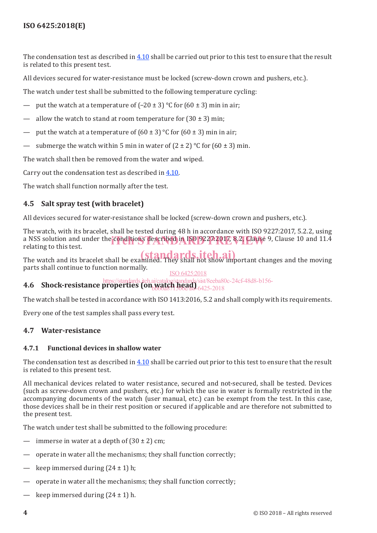The condensation test as described in 4.10 shall be carried out prior to this test to ensure that the result is related to this present test.

All devices secured for water-resistance must be locked (screw-down crown and pushers, etc.).

The watch under test shall be submitted to the following temperature cycling:

- put the watch at a temperature of  $(-20 \pm 3)$  °C for  $(60 \pm 3)$  min in air;
- allow the watch to stand at room temperature for  $(30 \pm 3)$  min;
- put the watch at a temperature of  $(60 \pm 3)$  °C for  $(60 \pm 3)$  min in air;
- submerge the watch within 5 min in water of  $(2 \pm 2)$  °C for  $(60 \pm 3)$  min.

The watch shall then be removed from the water and wiped.

Carry out the condensation test as described in 4.10.

The watch shall function normally after the test.

### **4.5 Salt spray test (with bracelet)**

All devices secured for water-resistance shall be locked (screw-down crown and pushers, etc.).

The watch, with its bracelet, shall be tested during 48 h in accordance with ISO 9227:2017, 5.2.2, using a NSS solution and under the conditions described in ISO 9227.2017, 8,2, Clause 9, Clause 10 and 11.4<br>relating to this test relating to this test.

The watch and its bracelet shall be examined. They shall not show important changes and the moving parts shall continue to function normally.

ISO 6425:2018

**4.6 Shock-resistance properties (on watch head)** 6425-2018

#### **bb66a871506e/iso-**6425-2018

The watch shall be tested in accordance with ISO 1413:2016, 5.2 and shall comply with its requirements.

Every one of the test samples shall pass every test.

#### **4.7 Water-resistance**

#### **4.7.1 Functional devices in shallow water**

The condensation test as described in  $4.10$  shall be carried out prior to this test to ensure that the result is related to this present test.

All mechanical devices related to water resistance, secured and not-secured, shall be tested. Devices (such as screw-down crown and pushers, etc.) for which the use in water is formally restricted in the accompanying documents of the watch (user manual, etc.) can be exempt from the test. In this case, those devices shall be in their rest position or secured if applicable and are therefore not submitted to the present test.

The watch under test shall be submitted to the following procedure:

- immerse in water at a depth of  $(30 \pm 2)$  cm;
- operate in water all the mechanisms; they shall function correctly;
- keep immersed during  $(24 \pm 1)$  h;
- operate in water all the mechanisms; they shall function correctly;
- keep immersed during  $(24 \pm 1)$  h.